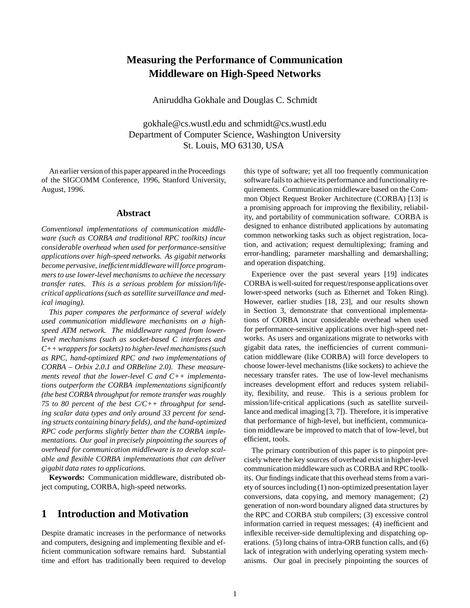# **Measuring the Performance of Communication Middleware on High-Speed Networks**

Aniruddha Gokhale and Douglas C. Schmidt

gokhale@cs.wustl.edu and schmidt@cs.wustl.edu Department of Computer Science, Washington University St. Louis, MO 63130, USA

An earlier version of this paper appeared in the Proceedings of the SIGCOMM Conference, 1996, Stanford University, August, 1996.

#### **Abstract**

*Conventional implementations of communication middleware (such as CORBA and traditional RPC toolkits) incur considerable overhead when used for performance-sensitive applications over high-speed networks. As gigabit networks become pervasive, inefficient middleware will force programmers to use lower-level mechanisms to achieve the necessary transfer rates. This is a serious problem for mission/lifecritical applications (such as satellite surveillance and medical imaging).*

*This paper compares the performance of several widely used communication middleware mechanisms on a highspeed ATM network. The middleware ranged from lowerlevel mechanisms (such as socket-based C interfaces and C++ wrappers for sockets) to higher-level mechanisms (such as RPC, hand-optimized RPC and two implementations of CORBA – Orbix 2.0.1 and ORBeline 2.0). These measurements reveal that the lower-level C and C++ implementations outperform the CORBA implementations significantly (the best CORBA throughput for remote transfer was roughly 75 to 80 percent of the best C/C++ throughput for sending scalar data types and only around 33 percent for sending structs containing binary fields), and the hand-optimized RPC code performs slightly better than the CORBA implementations. Our goal in precisely pinpointing the sources of overhead for communication middleware is to develop scalable and flexible CORBA implementations that can deliver gigabit data rates to applications.*

**Keywords:** Communication middleware, distributed object computing, CORBA, high-speed networks.

# **1 Introduction and Motivation**

Despite dramatic increases in the performance of networks and computers, designing and implementing flexible and efficient communication software remains hard. Substantial time and effort has traditionally been required to develop this type of software; yet all too frequently communication software fails to achieve its performance and functionalityrequirements. Communication middleware based on the Common Object Request Broker Architecture (CORBA) [13] is a promising approach for improving the flexibility, reliability, and portability of communication software. CORBA is designed to enhance distributed applications by automating common networking tasks such as object registration, location, and activation; request demultiplexing; framing and error-handling; parameter marshalling and demarshalling; and operation dispatching.

Experience over the past several years [19] indicates CORBA is well-suited for request/response applications over lower-speed networks (such as Ethernet and Token Ring). However, earlier studies [18, 23], and our results shown in Section 3, demonstrate that conventional implementations of CORBA incur considerable overhead when used for performance-sensitive applications over high-speed networks. As users and organizations migrate to networks with gigabit data rates, the inefficiencies of current communication middleware (like CORBA) will force developers to choose lower-level mechanisms (like sockets) to achieve the necessary transfer rates. The use of low-level mechanisms increases development effort and reduces system reliability, flexibility, and reuse. This is a serious problem for mission/life-critical applications (such as satellite surveillance and medical imaging [3, 7]). Therefore, it is imperative that performance of high-level, but inefficient, communication middleware be improved to match that of low-level, but efficient, tools.

The primary contribution of this paper is to pinpoint precisely where the key sources of overhead exist in higher-level communication middleware such as CORBA and RPC toolkits. Our findings indicate that this overhead stems from a variety of sources including (1) non-optimized presentation layer conversions, data copying, and memory management; (2) generation of non-word boundary aligned data structures by the RPC and CORBA stub compilers; (3) excessive control information carried in request messages; (4) inefficient and inflexible receiver-side demultiplexing and dispatching operations. (5) long chains of intra-ORB function calls, and (6) lack of integration with underlying operating system mechanisms. Our goal in precisely pinpointing the sources of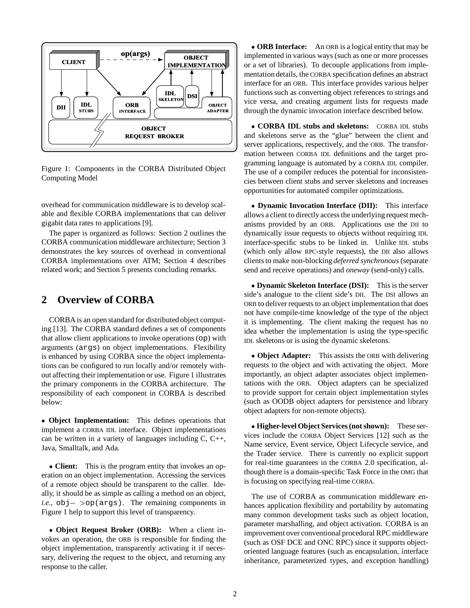

Figure 1: Components in the CORBA Distributed Object Computing Model

overhead for communication middleware is to develop scalable and flexible CORBA implementations that can deliver gigabit data rates to applications [9].

The paper is organized as follows: Section 2 outlines the CORBA communication middleware architecture; Section 3 demonstrates the key sources of overhead in conventional CORBA implementations over ATM; Section 4 describes related work; and Section 5 presents concluding remarks.

## **2 Overview of CORBA**

CORBA is an open standard for distributed object computing [13]. The CORBA standard defines a set of components that allow client applications to invoke operations (op) with arguments (args) on object implementations. Flexibility is enhanced by using CORBA since the object implementations can be configured to run locally and/or remotely without affecting their implementation or use. Figure 1 illustrates the primary components in the CORBA architecture. The responsibility of each component in CORBA is described below:

 **Object Implementation:** This defines operations that implement a CORBA IDL interface. Object implementations can be written in a variety of languages including C, C++, Java, Smalltalk, and Ada.

 **Client:** This is the program entity that invokes an operation on an object implementation. Accessing the services of a remote object should be transparent to the caller. Ideally, it should be as simple as calling a method on an object, *i.e.*,  $obj - \geq op(\arg s)$ . The remaining components in Figure 1 help to support this level of transparency.

 **Object Request Broker (ORB):** When a client invokes an operation, the ORB is responsible for finding the object implementation, transparently activating it if necessary, delivering the request to the object, and returning any response to the caller.

 **ORB Interface:** An ORB is a logical entity that may be implemented in various ways (such as one or more processes or a set of libraries). To decouple applications from implementation details, the CORBA specification defines an abstract interface for an ORB. This interface provides various helper functions such as converting object references to strings and vice versa, and creating argument lists for requests made through the dynamic invocation interface described below.

 **CORBA IDL stubs and skeletons:** CORBA IDL stubs and skeletons serve as the "glue" between the client and server applications, respectively, and the ORB. The transformation between CORBA IDL definitions and the target programming language is automated by a CORBA IDL compiler. The use of a compiler reduces the potential for inconsistencies between client stubs and server skeletons and increases opportunities for automated compiler optimizations.

 **Dynamic Invocation Interface (DII):** This interface allows a client to directly access the underlying request mechanisms provided by an ORB. Applications use the DII to dynamically issue requests to objects without requiring IDL interface-specific stubs to be linked in. Unlike IDL stubs (which only allow RPC-style requests), the DII also allows clients to make non-blocking *deferred synchronous* (separate send and receive operations) and *oneway* (send-only) calls.

 **Dynamic Skeleton Interface (DSI):** This is the server side's analogue to the client side's DII. The DSI allows an ORB to deliver requests to an object implementation that does not have compile-time knowledge of the type of the object it is implementing. The client making the request has no idea whether the implementation is using the type-specific IDL skeletons or is using the dynamic skeletons.

 **Object Adapter:** This assists the ORB with delivering requests to the object and with activating the object. More importantly, an object adapter associates object implementations with the ORB. Object adapters can be specialized to provide support for certain object implementation styles (such as OODB object adapters for persistence and library object adapters for non-remote objects).

 **Higher-level Object Services (not shown):** These services include the CORBA Object Services [12] such as the Name service, Event service, Object Lifecycle service, and the Trader service. There is currently no explicit support for real-time guarantees in the CORBA 2.0 specification, although there is a domain-specific Task Force in the OMG that is focusing on specifying real-time CORBA.

The use of CORBA as communication middleware enhances application flexibility and portability by automating many common development tasks such as object location, parameter marshalling, and object activation. CORBA is an improvement over conventional procedural RPC middleware (such as OSF DCE and ONC RPC) since it supports objectoriented language features (such as encapsulation, interface inheritance, parameterized types, and exception handling)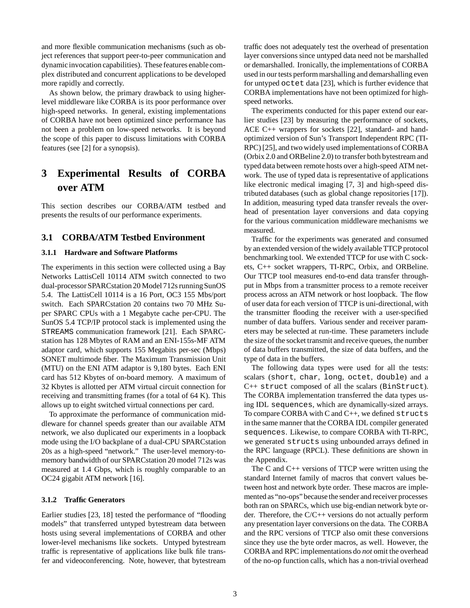and more flexible communication mechanisms (such as object references that support peer-to-peer communication and dynamic invocation capabilities). These features enable complex distributed and concurrent applications to be developed more rapidly and correctly.

As shown below, the primary drawback to using higherlevel middleware like CORBA is its poor performance over high-speed networks. In general, existing implementations of CORBA have not been optimized since performance has not been a problem on low-speed networks. It is beyond the scope of this paper to discuss limitations with CORBA features (see [2] for a synopsis).

# **3 Experimental Results of CORBA over ATM**

This section describes our CORBA/ATM testbed and presents the results of our performance experiments.

### **3.1 CORBA/ATM Testbed Environment**

#### **3.1.1 Hardware and Software Platforms**

The experiments in this section were collected using a Bay Networks LattisCell 10114 ATM switch connected to two dual-processor SPARCstation 20 Model 712s running SunOS 5.4. The LattisCell 10114 is a 16 Port, OC3 155 Mbs/port switch. Each SPARCstation 20 contains two 70 MHz Super SPARC CPUs with a 1 Megabyte cache per-CPU. The SunOS 5.4 TCP/IP protocol stack is implemented using the STREAMS communication framework [21]. Each SPARCstation has 128 Mbytes of RAM and an ENI-155s-MF ATM adaptor card, which supports 155 Megabits per-sec (Mbps) SONET multimode fiber. The Maximum Transmission Unit (MTU) on the ENI ATM adaptor is 9,180 bytes. Each ENI card has 512 Kbytes of on-board memory. A maximum of 32 Kbytes is allotted per ATM virtual circuit connection for receiving and transmitting frames (for a total of 64 K). This allows up to eight switched virtual connections per card.

To approximate the performance of communication middleware for channel speeds greater than our available ATM network, we also duplicated our experiments in a loopback mode using the I/O backplane of a dual-CPU SPARCstation 20s as a high-speed "network." The user-level memory-tomemory bandwidth of our SPARCstation 20 model 712s was measured at 1.4 Gbps, which is roughly comparable to an OC24 gigabit ATM network [16].

#### **3.1.2 Traffic Generators**

Earlier studies [23, 18] tested the performance of "flooding models" that transferred untyped bytestream data between hosts using several implementations of CORBA and other lower-level mechanisms like sockets. Untyped bytestream traffic is representative of applications like bulk file transfer and videoconferencing. Note, however, that bytestream

traffic does not adequately test the overhead of presentation layer conversions since untyped data need not be marshalled or demarshalled. Ironically, the implementations of CORBA used in our tests perform marshalling and demarshalling even for untyped octet data [23], which is further evidence that CORBA implementations have not been optimized for highspeed networks.

The experiments conducted for this paper extend our earlier studies [23] by measuring the performance of sockets, ACE C++ wrappers for sockets [22], standard- and handoptimized version of Sun's Transport Independent RPC (TI-RPC) [25], and two widely used implementations of CORBA (Orbix 2.0 and ORBeline 2.0) to transfer both bytestream and typed data between remote hosts over a high-speed ATM network. The use of typed data is representative of applications like electronic medical imaging [7, 3] and high-speed distributed databases (such as global change repositories [17]). In addition, measuring typed data transfer reveals the overhead of presentation layer conversions and data copying for the various communication middleware mechanisms we measured.

Traffic for the experiments was generated and consumed by an extended version of the widely available TTCP protocol benchmarking tool. We extended TTCP for use with C sockets, C++ socket wrappers, TI-RPC, Orbix, and ORBeline. Our TTCP tool measures end-to-end data transfer throughput in Mbps from a transmitter process to a remote receiver process across an ATM network or host loopback. The flow of user data for each version of TTCP is uni-directional, with the transmitter flooding the receiver with a user-specified number of data buffers. Various sender and receiver parameters may be selected at run-time. These parameters include the size of the socket transmit and receive queues, the number of data buffers transmitted, the size of data buffers, and the type of data in the buffers.

The following data types were used for all the tests: scalars (short, char, long, octet, double) and a C++ struct composed of all the scalars (BinStruct). The CORBA implementation transferred the data types using IDL sequences, which are dynamically-sized arrays. To compare CORBA with C and C++, we defined structs in the same manner that the CORBA IDL compiler generated sequences. Likewise, to compare CORBA with TI-RPC, we generated structs using unbounded arrays defined in the RPC language (RPCL). These definitions are shown in the Appendix.

The C and C++ versions of TTCP were written using the standard Internet family of macros that convert values between host and network byte order. These macros are implemented as "no-ops" because the sender and receiver processes both ran on SPARCs, which use big-endian network byte order. Therefore, the C/C++ versions do not actually perform any presentation layer conversions on the data. The CORBA and the RPC versions of TTCP also omit these conversions since they use the byte order macros, as well. However, the CORBA and RPC implementations do *not* omit the overhead of the no-op function calls, which has a non-trivial overhead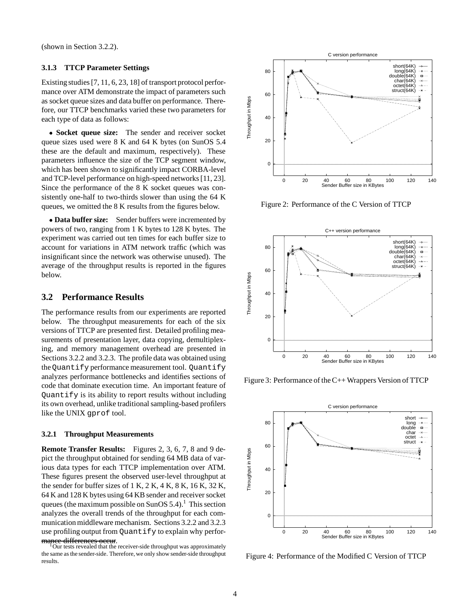(shown in Section 3.2.2).

#### **3.1.3 TTCP Parameter Settings**

Existing studies [7, 11, 6, 23, 18] of transport protocol performance over ATM demonstrate the impact of parameters such as socket queue sizes and data buffer on performance. Therefore, our TTCP benchmarks varied these two parameters for each type of data as follows:

 **Socket queue size:** The sender and receiver socket queue sizes used were 8 K and 64 K bytes (on SunOS 5.4 these are the default and maximum, respectively). These parameters influence the size of the TCP segment window, which has been shown to significantly impact CORBA-level and TCP-level performance on high-speed networks [11, 23]. Since the performance of the 8 K socket queues was consistently one-half to two-thirds slower than using the 64 K queues, we omitted the 8 K results from the figures below.

 **Data buffer size:** Sender buffers were incremented by powers of two, ranging from 1 K bytes to 128 K bytes. The experiment was carried out ten times for each buffer size to account for variations in ATM network traffic (which was insignificant since the network was otherwise unused). The average of the throughput results is reported in the figures below.

### **3.2 Performance Results**

The performance results from our experiments are reported below. The throughput measurements for each of the six versions of TTCP are presented first. Detailed profiling measurements of presentation layer, data copying, demultiplexing, and memory management overhead are presented in Sections 3.2.2 and 3.2.3. The profile data was obtained using the Quantify performance measurement tool. Quantify analyzes performance bottlenecks and identifies sections of code that dominate execution time. An important feature of Quantify is its ability to report results without including its own overhead, unlike traditional sampling-based profilers like the UNIX gprof tool.

#### **3.2.1 Throughput Measurements**

**Remote Transfer Results:** Figures 2, 3, 6, 7, 8 and 9 depict the throughput obtained for sending 64 MB data of various data types for each TTCP implementation over ATM. These figures present the observed user-level throughput at the sender for buffer sizes of  $1 K$ ,  $2 K$ ,  $4 K$ ,  $8 K$ ,  $16 K$ ,  $32 K$ , 64 K and 128 K bytes using 64 KB sender and receiver socket queues (the maximum possible on SunOS  $5.4$ ).<sup>1</sup> This section analyzes the overall trends of the throughput for each communication middleware mechanism. Sections 3.2.2 and 3.2.3 use profiling output from Quantify to explain why perforance differences occur.<br><sup>1</sup>Our tests revealed that the receiver-side throughput was approximately

the same as the sender-side. Therefore, we only show sender-side throughput results.



Figure 2: Performance of the C Version of TTCP



Figure 3: Performance of the C++ Wrappers Version of TTCP



Figure 4: Performance of the Modified C Version of TTCP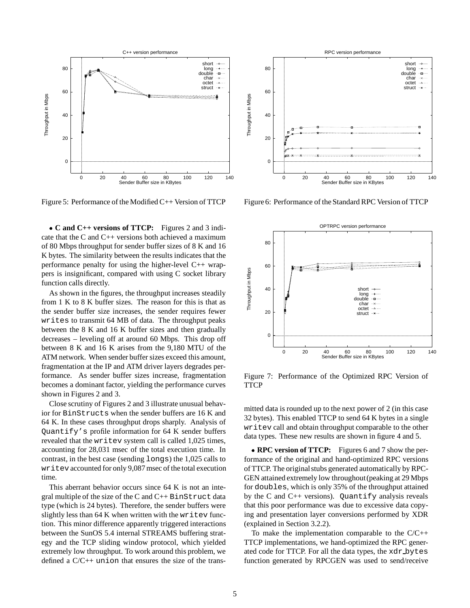

Figure 5: Performance of the Modified C++ Version of TTCP

 **C and C++ versions of TTCP:** Figures 2 and 3 indicate that the C and C++ versions both achieved a maximum of 80 Mbps throughput for sender buffer sizes of 8 K and 16 K bytes. The similarity between the results indicates that the performance penalty for using the higher-level C++ wrappers is insignificant, compared with using C socket library function calls directly.

As shown in the figures, the throughput increases steadily from 1 K to 8 K buffer sizes. The reason for this is that as the sender buffer size increases, the sender requires fewer writes to transmit 64 MB of data. The throughput peaks between the 8 K and 16 K buffer sizes and then gradually decreases – leveling off at around 60 Mbps. This drop off between 8 K and 16 K arises from the 9,180 MTU of the ATM network. When sender buffer sizes exceed this amount, fragmentation at the IP and ATM driver layers degrades performance. As sender buffer sizes increase, fragmentation becomes a dominant factor, yielding the performance curves shown in Figures 2 and 3.

Close scrutiny of Figures 2 and 3 illustrate unusual behavior for BinStructs when the sender buffers are 16 K and 64 K. In these cases throughput drops sharply. Analysis of Quantify's profile information for 64 K sender buffers revealed that the writev system call is called 1,025 times, accounting for 28,031 msec of the total execution time. In contrast, in the best case (sending longs) the 1,025 calls to writev accounted for only 9,087 msec of the total execution time.

This aberrant behavior occurs since 64 K is not an integral multiple of the size of the C and C++ BinStruct data type (which is 24 bytes). Therefore, the sender buffers were slightly less than 64 K when written with the writev function. This minor difference apparently triggered interactions between the SunOS 5.4 internal STREAMS buffering strategy and the TCP sliding window protocol, which yielded extremely low throughput. To work around this problem, we defined a C/C++ union that ensures the size of the trans-



Figure 6: Performance of the Standard RPC Version of TTCP



Figure 7: Performance of the Optimized RPC Version of **TTCP** 

mitted data is rounded up to the next power of 2 (in this case 32 bytes). This enabled TTCP to send 64 K bytes in a single writev call and obtain throughput comparable to the other data types. These new results are shown in figure 4 and 5.

 **RPC version of TTCP:** Figures 6 and 7 show the performance of the original and hand-optimized RPC versions of TTCP. The original stubs generated automatically by RPC-GEN attained extremely low throughout(peaking at 29 Mbps for doubles, which is only 35% of the throughput attained by the C and  $C_{++}$  versions). Quantify analysis reveals that this poor performance was due to excessive data copying and presentation layer conversions performed by XDR (explained in Section 3.2.2).

To make the implementation comparable to the  $C/C++$ TTCP implementations, we hand-optimized the RPC generated code for TTCP. For all the data types, the xdr\_bytes function generated by RPCGEN was used to send/receive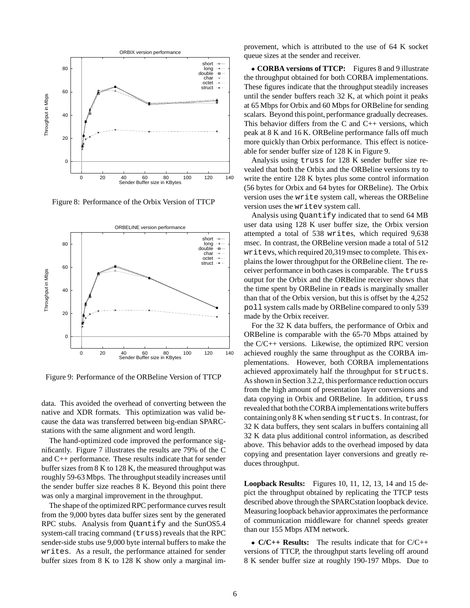

Figure 8: Performance of the Orbix Version of TTCP



Figure 9: Performance of the ORBeline Version of TTCP

data. This avoided the overhead of converting between the native and XDR formats. This optimization was valid because the data was transferred between big-endian SPARCstations with the same alignment and word length.

The hand-optimized code improved the performance significantly. Figure 7 illustrates the results are 79% of the C and C++ performance. These results indicate that for sender buffer sizes from 8 K to 128 K, the measured throughput was roughly 59-63 Mbps. The throughput steadily increases until the sender buffer size reaches 8 K. Beyond this point there was only a marginal improvement in the throughput.

The shape of the optimized RPC performance curves result from the 9,000 bytes data buffer sizes sent by the generated RPC stubs. Analysis from Quantify and the SunOS5.4 system-call tracing command (truss) reveals that the RPC sender-side stubs use 9,000 byte internal buffers to make the writes. As a result, the performance attained for sender buffer sizes from 8 K to 128 K show only a marginal improvement, which is attributed to the use of 64 K socket queue sizes at the sender and receiver.

 **CORBA versions of TTCP:** Figures 8 and 9 illustrate the throughput obtained for both CORBA implementations. These figures indicate that the throughput steadily increases until the sender buffers reach 32 K, at which point it peaks at 65 Mbps for Orbix and 60 Mbps for ORBeline for sending scalars. Beyond this point, performance gradually decreases. This behavior differs from the C and  $C_{++}$  versions, which peak at 8 K and 16 K. ORBeline performance falls off much more quickly than Orbix performance. This effect is noticeable for sender buffer size of 128 K in Figure 9.

Analysis using truss for 128 K sender buffer size revealed that both the Orbix and the ORBeline versions try to write the entire 128 K bytes plus some control information (56 bytes for Orbix and 64 bytes for ORBeline). The Orbix version uses the write system call, whereas the ORBeline version uses the writev system call.

Analysis using Quantify indicated that to send 64 MB user data using 128 K user buffer size, the Orbix version attempted a total of 538 writes, which required 9,638 msec. In contrast, the ORBeline version made a total of 512 writevs, which required 20,319 msec to complete. This explains the lower throughput for the ORBeline client. The receiver performance in both cases is comparable. The truss output for the Orbix and the ORBeline receiver shows that the time spent by ORBeline in reads is marginally smaller than that of the Orbix version, but this is offset by the 4,252 poll system calls made by ORBeline compared to only 539 made by the Orbix receiver.

For the 32 K data buffers, the performance of Orbix and ORBeline is comparable with the 65-70 Mbps attained by the C/C++ versions. Likewise, the optimized RPC version achieved roughly the same throughput as the CORBA implementations. However, both CORBA implementations achieved approximately half the throughput for structs. As shown in Section 3.2.2, this performance reduction occurs from the high amount of presentation layer conversions and data copying in Orbix and ORBeline. In addition, truss revealed that both the CORBA implementations write buffers containingonly 8 K when sending structs. In contrast, for 32 K data buffers, they sent scalars in buffers containing all 32 K data plus additional control information, as described above. This behavior adds to the overhead imposed by data copying and presentation layer conversions and greatly reduces throughput.

**Loopback Results:** Figures 10, 11, 12, 13, 14 and 15 depict the throughput obtained by replicating the TTCP tests described above through the SPARCstation loopback device. Measuring loopback behavior approximates the performance of communication middleware for channel speeds greater than our 155 Mbps ATM network.

 **C/C++ Results:** The results indicate that for C/C++ versions of TTCP, the throughput starts leveling off around 8 K sender buffer size at roughly 190-197 Mbps. Due to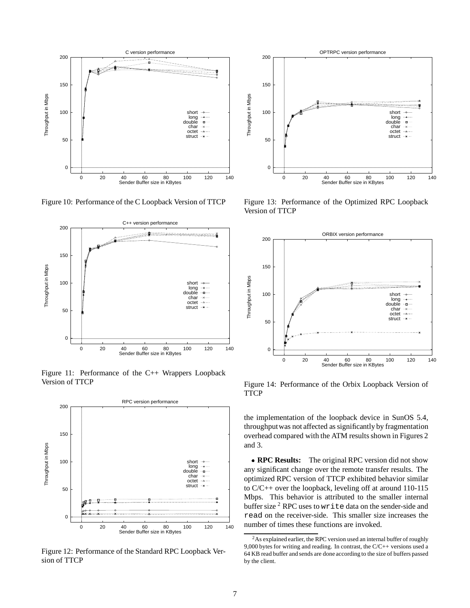

Figure 10: Performance of the C Loopback Version of TTCP



Figure 11: Performance of the C++ Wrappers Loopback Version of TTCP



Figure 12: Performance of the Standard RPC Loopback Version of TTCP



Figure 13: Performance of the Optimized RPC Loopback Version of TTCP



Figure 14: Performance of the Orbix Loopback Version of **TTCP** 

the implementation of the loopback device in SunOS 5.4, throughputwas not affected as significantly by fragmentation overhead compared with the ATM results shown in Figures 2 and 3.

 **RPC Results:** The original RPC version did not show any significant change over the remote transfer results. The optimized RPC version of TTCP exhibited behavior similar to C/C++ over the loopback, leveling off at around 110-115 Mbps. This behavior is attributed to the smaller internal buffer size<sup>2</sup> RPC uses to write data on the sender-side and read on the receiver-side. This smaller size increases the number of times these functions are invoked.

 $2As$  explained earlier, the RPC version used an internal buffer of roughly 9,000 bytes for writing and reading. In contrast, the C/C++ versions used a 64 KB read buffer and sends are done according to the size of buffers passed by the client.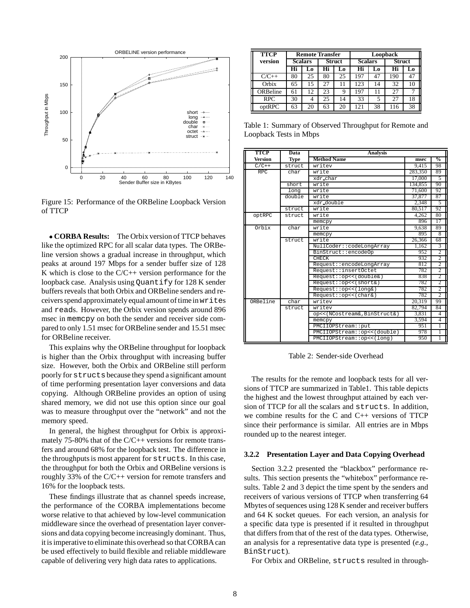

Figure 15: Performance of the ORBeline Loopback Version of TTCP

 **CORBA Results:** The Orbix version of TTCP behaves like the optimized RPC for all scalar data types. The ORBeline version shows a gradual increase in throughput, which peaks at around 197 Mbps for a sender buffer size of 128 K which is close to the  $C/C++$  version performance for the loopback case. Analysis using Quantify for 128 K sender buffers reveals that both Orbix and ORBeline senders and receivers spend approximately equal amount of time inwrites and reads. However, the Orbix version spends around 896 msec in memcpy on both the sender and receiver side compared to only 1.51 msec for ORBeline sender and 15.51 msec for ORBeline receiver.

This explains why the ORBeline throughput for loopback is higher than the Orbix throughput with increasing buffer size. However, both the Orbix and ORBeline still perform poorly for structsbecause they spend a significant amount of time performing presentation layer conversions and data copying. Although ORBeline provides an option of using shared memory, we did not use this option since our goal was to measure throughput over the "network" and not the memory speed.

In general, the highest throughput for Orbix is approximately 75-80% that of the C/C++ versions for remote transfers and around 68% for the loopback test. The difference in the throughputs is most apparent for structs. In this case, the throughput for both the Orbix and ORBeline versions is roughly 33% of the C/C++ version for remote transfers and 16% for the loopback tests.

These findings illustrate that as channel speeds increase, the performance of the CORBA implementations become worse relative to that achieved by low-level communication middleware since the overhead of presentation layer conversions and data copying become increasingly dominant. Thus, it is imperative to eliminate this overhead so that CORBA can be used effectively to build flexible and reliable middleware capable of delivering very high data rates to applications.

| <b>TTCP</b>     | <b>Remote Transfer</b> |                |    |               | Loopback |                |     |               |  |
|-----------------|------------------------|----------------|----|---------------|----------|----------------|-----|---------------|--|
| version         |                        | <b>Scalars</b> |    | <b>Struct</b> |          | <b>Scalars</b> |     | <b>Struct</b> |  |
|                 | Hi                     | Lo             | Hi | Lo            | Hi       | Lo             | Hi  | Lo            |  |
| $C/C++$         | 80                     | 25             | 80 | 25            | 197      | 47             | 190 | 47            |  |
| Orbix           | 65                     | 15             | 27 | 11            | 123      | 14             | 32  | 10            |  |
| <b>ORBeline</b> | 61                     | 12             | 23 |               | 197      | 11             | 27  |               |  |
| <b>RPC</b>      | 30                     |                | 25 | 14            | 33       | 5              | 27  | 18            |  |
| optRPC          | 63                     | 20             | 63 | 20            | 12.1     | 38             | 116 | 38            |  |

Table 1: Summary of Observed Throughput for Remote and Loopback Tests in Mbps

| <b>TTCP</b>    | Data        | <b>Analysis</b>               |         |                |
|----------------|-------------|-------------------------------|---------|----------------|
| <b>Version</b> | <b>Type</b> | <b>Method Name</b>            | msec    | $\frac{0}{0}$  |
| $C/C++$        | struct      | writev                        | 9.415   | 98             |
| <b>RPC</b>     | char        | write                         | 283.350 | 89             |
|                |             | xdr_char                      | 17,000  | 5              |
|                | short       | write                         | 134,855 | 90             |
|                | long        | write                         | 71,600  | 92             |
|                | double      | write                         | 37.877  | 87             |
|                |             | xdr_double                    | 2,348   | 5              |
|                | struct      | write                         | 80,517  | 92             |
| optRPC         | struct      | write                         | 4.262   | 80             |
|                |             | memcpy                        | 896     | 17             |
| Orbix          | char        | write                         | 9.638   | 89             |
|                |             | memcpy                        | 895     | 8              |
|                | struct      | write                         | 26,366  | 68             |
|                |             | NullCoder::codeLongArray      | 1.162   | 3              |
|                |             | BinStruct::encodeOp           | 952     | 2              |
|                |             | CHECK                         | 932     | 2              |
|                |             | Request::encodeLongArray      | 812     | 2              |
|                |             | Request::insertOctet          | 782     | 2              |
|                |             | Request::op<<(double&)        | 838     | 2              |
|                |             | Request::op<<(short&)         | 782     | $\overline{2}$ |
|                |             | Request:: op<< (long&)        | 782     | 2              |
|                |             | Request::op<<(char&)          | 782     | 2              |
| ORBeline       | char        | writev                        | 20.319  | 99             |
|                | struct      | writev                        | 82,794  | 84             |
|                |             | op<< (NCostream&, BinStruct&) | 3,831   | 4              |
|                |             | memcpy                        | 3.594   | 4              |
|                |             | PMCIIOPStream::put            | 951     | 1              |
|                |             | PMCIIOPStream::op<<(double)   | 978     | ī              |
|                |             | PMCIIOPStream::op<<(long)     | 950     | 1              |

Table 2: Sender-side Overhead

The results for the remote and loopback tests for all versions of TTCP are summarized in Table1. This table depicts the highest and the lowest throughput attained by each version of TTCP for all the scalars and structs. In addition, we combine results for the C and C++ versions of TTCP since their performance is similar. All entries are in Mbps rounded up to the nearest integer.

#### **3.2.2 Presentation Layer and Data Copying Overhead**

Section 3.2.2 presented the "blackbox" performance results. This section presents the "whitebox" performance results. Table 2 and 3 depict the time spent by the senders and receivers of various versions of TTCP when transferring 64 Mbytes of sequences using 128 K sender and receiver buffers and 64 K socket queues. For each version, an analysis for a specific data type is presented if it resulted in throughput that differs from that of the rest of the data types. Otherwise, an analysis for a representative data type is presented (*e.g.,* BinStruct).

For Orbix and ORBeline, structs resulted in through-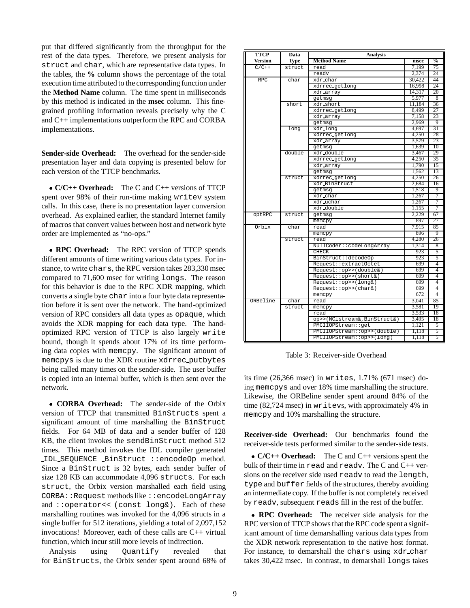put that differed significantly from the throughput for the rest of the data types. Therefore, we present analysis for struct and char, which are representative data types. In the tables, the **%** column shows the percentage of the total execution time attributed to the corresponding function under the **Method Name** column. The time spent in milliseconds by this method is indicated in the **msec** column. This finegrained profiling information reveals precisely why the C and C++ implementations outperform the RPC and CORBA implementations.

**Sender-side Overhead:** The overhead for the sender-side presentation layer and data copying is presented below for each version of the TTCP benchmarks.

 **C/C++ Overhead:** The C and C++ versions of TTCP spent over 98% of their run-time making writev system calls. In this case, there is no presentation layer conversion overhead. As explained earlier, the standard Internet family of macros that convert values between host and network byte order are implemented as "no-ops."

 **RPC Overhead:** The RPC version of TTCP spends different amounts of time writing various data types. For instance, to write chars, the RPC version takes 283,330 msec compared to 71,600 msec for writing longs. The reason for this behavior is due to the RPC XDR mapping, which converts a single byte char into a four byte data representation before it is sent over the network. The hand-optimized version of RPC considers all data types as opaque, which avoids the XDR mapping for each data type. The handoptimized RPC version of TTCP is also largely write bound, though it spends about 17% of its time performing data copies with memcpy. The significant amount of memcpys is due to the XDR routine xdrrec putbytes being called many times on the sender-side. The user buffer is copied into an internal buffer, which is then sent over the network.

 **CORBA Overhead:** The sender-side of the Orbix version of TTCP that transmitted BinStructs spent a significant amount of time marshalling the BinStruct fields. For 64 MB of data and a sender buffer of 128 KB, the client invokes the sendBinStruct method 512 times. This method invokes the IDL compiler generated IDL SEQUENCE BinStruct ::encodeOp method. Since a BinStruct is 32 bytes, each sender buffer of size 128 KB can accommodate 4,096 structs. For each struct, the Orbix version marshalled each field using CORBA::Request methods like ::encodeLongArray and ::operator<< (const long&). Each of these marshalling routines was invoked for the 4,096 structs in a single buffer for 512 iterations, yielding a total of 2,097,152 invocations! Moreover, each of these calls are C++ virtual function, which incur still more levels of indirection.

Analysis using Quantify revealed that for BinStructs, the Orbix sender spent around 68% of

| <b>TTCP</b> | Data        | <b>Analysis</b>              |        |               |
|-------------|-------------|------------------------------|--------|---------------|
| Version     | <b>Type</b> | <b>Method Name</b>           | msec   | $\frac{0}{0}$ |
| $C/C++$     | struct      | read                         | 7.199  | 75            |
|             |             | ready                        | 2,374  | 24            |
| <b>RPC</b>  | char        | xdr_char                     | 30,422 | 44            |
|             |             | xdrrec getlong               | 16,998 | 24            |
|             |             | xdr_array                    | 14,317 | 20            |
|             |             | getmsg                       | 5.977  | 8             |
|             | short       | xdr_short                    | 11,184 | 36            |
|             |             | xdrrec_getlong               | 8.499  | 27            |
|             |             | xdr_array                    | 7.158  | 23            |
|             |             | getmsg                       | 2.969  | -9            |
|             | long        | xdr_long                     | 4,697  | 31            |
|             |             | xdrrec_getlong               | 4,250  | 28            |
|             |             | xdr_array                    | 3.579  | 23            |
|             |             | getmsg                       | 1,639  | 10            |
|             | double      | xdr_double                   | 3.467  | 29            |
|             |             | xdrrec_getlong               | 4,250  | 35            |
|             |             | xdr_array                    | 1,790  | 15            |
|             |             | qetmsq                       | 1.562  | 13            |
|             | struct      | xdrrec_getlong               | 4,250  | 26            |
|             |             | xdr_BinStruct                | 2.684  | 16            |
|             |             | getmsg                       | 1,518  | 9             |
|             |             | xdr_char                     | 1,267  | 7             |
|             |             | xdr_uchar                    | 1,267  | 7             |
|             |             | xdr double                   | 1,155  | 7             |
| optRPC      | struct      | getmsg                       | 2.229  | 67            |
|             |             | memcpy                       | 897    | 27            |
| Orbix       | char        | read                         | 7.915  | 85            |
|             |             | memcpy                       | 896    | 9             |
|             | struct      | read                         | 4,280  | 26            |
|             |             | NullCoder::codeLongArray     | 1,314  | 8             |
|             |             | <b>CHECK</b>                 | 923    | 5             |
|             |             | BinStruct::decodeOp          | 923    | 5             |
|             |             | Request::extractOctet        | 699    | 4             |
|             |             | Request::op>>(double&)       | 699    | 4             |
|             |             | Request:: op>>(short&)       | 699    | 4             |
|             |             | Request::op>>(long&)         | 699    | 4             |
|             |             | Request::op>>(char&)         | 699    | 4             |
|             |             | memcpy                       | 672    | 4             |
| ORBeline    | char        | read                         | 3,041  | 85            |
|             | struct      | memcpy                       | 3,581  | 19            |
|             |             | read                         | 3,533  | 18            |
|             |             | op>>(NCistream&, BinStruct&) | 3,495  | 18            |
|             |             | PMCIIOPStream: : get         | 1,121  | 5             |
|             |             | PMCIIOPStream::op>>(double)  | 1,118  | 5             |
|             |             | PMCIIOPStream::op>>(long)    | 1,118  | 5             |

Table 3: Receiver-side Overhead

its time (26,366 msec) in writes, 1.71% (671 msec) doing memcpys and over 18% time marshalling the structure. Likewise, the ORBeline sender spent around 84% of the time (82,724 msec) in writevs, with approximately 4% in memcpy and 10% marshalling the structure.

**Receiver-side Overhead:** Our benchmarks found the receiver-side tests performed similar to the sender-side tests.

• C/C++ Overhead: The C and C++ versions spent the bulk of their time in read and readv. The C and C++ versions on the receiver side used readv to read the length, type and buffer fields of the structures, thereby avoiding an intermediate copy. If the buffer is not completely received by readv, subsequent reads fill in the rest of the buffer.

 **RPC Overhead:** The receiver side analysis for the RPC version of TTCP shows that the RPC code spent a significant amount of time demarshalling various data types from the XDR network representation to the native host format. For instance, to demarshall the chars using xdr char takes 30,422 msec. In contrast, to demarshall longs takes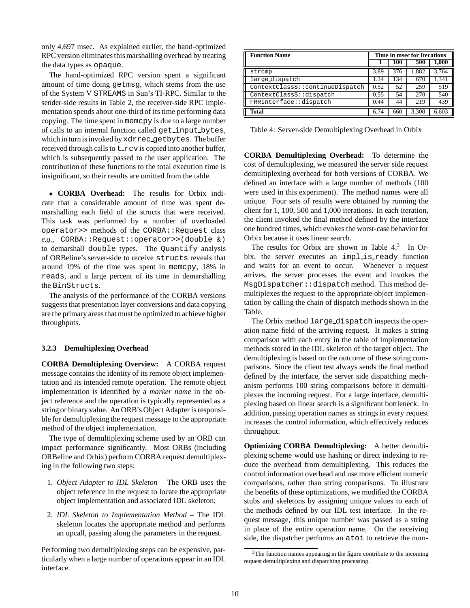only 4,697 msec. As explained earlier, the hand-optimized RPC version eliminates this marshalling overhead by treating the data types as opaque.

The hand-optimized RPC version spent a significant amount of time doing getmsg, which stems from the use of the System V STREAMS in Sun's TI-RPC. Similar to the sender-side results in Table 2, the receiver-side RPC implementation spends about one-third of its time performing data copying. The time spent in memcpy is due to a large number of calls to an internal function called get input bytes, which in turn is invoked byxdrrec getbytes. The buffer received through calls to  $t$  rcv is copied into another buffer, which is subsequently passed to the user application. The contribution of these functions to the total execution time is insignificant, so their results are omitted from the table.

 **CORBA Overhead:** The results for Orbix indicate that a considerable amount of time was spent demarshalling each field of the structs that were received. This task was performed by a number of overloaded operator>> methods of the CORBA::Request class e.g., CORBA::Request::operator>>(double &) to demarshall double types. The Quantify analysis of ORBeline's server-side to receive structs reveals that around 19% of the time was spent in memcpy, 18% in reads, and a large percent of its time in demarshalling the BinStructs.

The analysis of the performance of the CORBA versions suggests that presentation layer conversions and data copying are the primary areas that must be optimized to achieve higher throughputs.

#### **3.2.3 Demultiplexing Overhead**

**CORBA Demultiplexing Overview:** A CORBA request message contains the identity of its remote object implementation and its intended remote operation. The remote object implementation is identified by a *marker name* in the object reference and the operation is typically represented as a string or binary value. An ORB's Object Adapter is responsible for demultiplexing the request message to the appropriate method of the object implementation.

The type of demultiplexing scheme used by an ORB can impact performance significantly. Most ORBs (including ORBeline and Orbix) perform CORBA request demultiplexing in the following two steps:

- 1. *Object Adapter to IDL Skeleton* The ORB uses the object reference in the request to locate the appropriate object implementation and associated IDL skeleton;
- 2. *IDL Skeleton to Implementation Method* The IDL skeleton locates the appropriate method and performs an upcall, passing along the parameters in the request.

Performing two demultiplexing steps can be expensive, particularly when a large number of operations appear in an IDL interface.

| <b>Function Name</b>            |      |     | <b>Time in msec for Iterations</b> |       |
|---------------------------------|------|-----|------------------------------------|-------|
|                                 |      | 100 | 500                                | 1,000 |
| strcmp                          | 3.89 | 376 | 1,882                              | 3,764 |
| large_dispatch                  | 1.34 | 134 | 670                                | 1,341 |
| ContextClassS::continueDispatch | 0.52 | 52  | 259                                | 519   |
| ContextClassS::dispatch         | 0.55 | 54  | 270                                | 540   |
| FRRInterface::dispatch          | 0.44 | 44  | 219                                | 439   |
| Total                           | 6.74 | 660 | 3.300                              | 6.603 |

Table 4: Server-side Demultiplexing Overhead in Orbix

**CORBA Demultiplexing Overhead:** To determine the cost of demultiplexing, we measured the server side request demultiplexing overhead for both versions of CORBA. We defined an interface with a large number of methods (100 were used in this experiment). The method names were all unique. Four sets of results were obtained by running the client for 1, 100, 500 and 1,000 iterations. In each iteration, the client invoked the final method defined by the interface one hundred times, which evokes the worst-case behavior for Orbix because it uses linear search.

The results for Orbix are shown in Table  $4<sup>3</sup>$  In Orbix, the server executes an implistready function and waits for an event to occur. Whenever a request arrives, the server processes the event and invokes the MsgDispatcher::dispatchmethod. This method demultiplexes the request to the appropriate object implementation by calling the chain of dispatch methods shown in the Table.

The Orbix method large dispatch inspects the operation name field of the arriving request. It makes a string comparison with each entry in the table of implementation methods stored in the IDL skeleton of the target object. The demultiplexing is based on the outcome of these string comparisons. Since the client test always sends the final method defined by the interface, the server side dispatching mechanism performs 100 string comparisons before it demultiplexes the incoming request. For a large interface, demultiplexing based on linear search is a significant bottleneck. In addition, passing operation names as strings in every request increases the control information, which effectively reduces throughput.

**Optimizing CORBA Demultiplexing:** A better demultiplexing scheme would use hashing or direct indexing to reduce the overhead from demultiplexing. This reduces the control information overhead and use more efficient numeric comparisons, rather than string comparisons. To illustrate the benefits of these optimizations, we modified the CORBA stubs and skeletons by assigning unique values to each of the methods defined by our IDL test interface. In the request message, this unique number was passed as a string in place of the entire operation name. On the receiving side, the dispatcher performs an atoi to retrieve the num-

<sup>&</sup>lt;sup>3</sup>The function names appearing in the figure contribute to the incoming request demultiplexing and dispatching processing.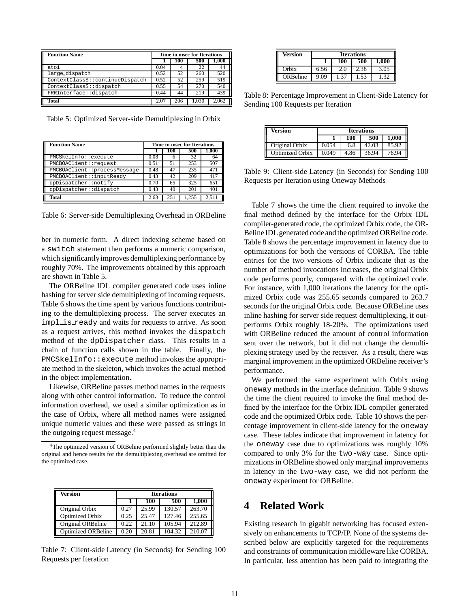| <b>Function Name</b>            |      |     | Time in msec for Iterations |       |
|---------------------------------|------|-----|-----------------------------|-------|
|                                 |      | 100 | 500                         | 1.000 |
| atoi                            | 0.04 |     | 22                          |       |
| large_dispatch                  | 0.52 | 52  | 260                         | 520   |
| ContextClassS::continueDispatch | 0.52 | 52  | 259                         | 519   |
| ContextClassS::dispatch         | 0.55 | 54  | 270                         | 540   |
| FRRInterface::dispatch          | 0.44 | 44  | 219                         | 439   |
| Total                           |      | 206 |                             |       |

Table 5: Optimized Server-side Demultiplexing in Orbix

| <b>Function Name</b>         |      |     | Time in msec for Iterations |       |
|------------------------------|------|-----|-----------------------------|-------|
|                              |      | 100 | 500                         | 1.000 |
| PMCSkelInfo::execute         | 0.08 | 6   | 32                          | 64    |
| PMCBOAClient::request        | 0.51 | 51  | 253                         | 507   |
| PMCBOAClient::processMessage | 0.48 | 47  | 235                         | 471   |
| PMCBOAClient::inputReady     | 0.43 | 42  | 209                         | 417   |
| dpDispatcher::notify         | 0.70 | 65  | 325                         | 651   |
| dpDispatcher::dispatch       | 0.43 | 40  | 201                         | 40    |
| Total                        | 2.63 | 251 | 1.255                       |       |

Table 6: Server-side Demultiplexing Overhead in ORBeline

ber in numeric form. A direct indexing scheme based on a switch statement then performs a numeric comparison, which significantly improves demultiplexing performance by roughly 70%. The improvements obtained by this approach are shown in Table 5.

The ORBeline IDL compiler generated code uses inline hashing for server side demultiplexing of incoming requests. Table 6 shows the time spent by various functions contributing to the demultiplexing process. The server executes an impl is ready and waits for requests to arrive. As soon as a request arrives, this method invokes the dispatch method of the dpDispatcher class. This results in a chain of function calls shown in the table. Finally, the PMCSkelInfo::execute method invokes the appropriate method in the skeleton, which invokes the actual method in the object implementation.

Likewise, ORBeline passes method names in the requests along with other control information. To reduce the control information overhead, we used a similar optimization as in the case of Orbix, where all method names were assigned unique numeric values and these were passed as strings in the outgoing request message. $4$ 

4The optimized version of ORBeline performed slightly better than the original and hence results for the demultiplexing overhead are omitted for the optimized case.

| Version                   | <b>Iterations</b> |       |        |        |  |
|---------------------------|-------------------|-------|--------|--------|--|
|                           |                   | 100   | 500    | 1,000  |  |
| Original Orbix            | 0.27              | 25.99 | 130.57 | 263.70 |  |
| Optimized Orbix           | 0.25              | 25.47 | 127.46 | 255.65 |  |
| Original ORBeline         | 0.22              | 21.10 | 105.94 | 212.89 |  |
| <b>Optimized ORBeline</b> | 0.20              | 20.81 | 104.32 | 210.07 |  |

Table 7: Client-side Latency (in Seconds) for Sending 100 Requests per Iteration

| Version         | <b>Iterations</b> |      |      |       |  |  |
|-----------------|-------------------|------|------|-------|--|--|
|                 |                   | 100  | 500  | 1.000 |  |  |
| Orbix           | 6.56              | 2.0  | 2.38 | 3.05  |  |  |
| <b>ORBeline</b> | 9.09              | 1.37 | 1.53 | 1.32  |  |  |

Table 8: Percentage Improvement in Client-Side Latency for Sending 100 Requests per Iteration

| Version         |       |      | <b>Iterations</b> |       |
|-----------------|-------|------|-------------------|-------|
|                 |       | 100  | 500               | 1.000 |
| Original Orbix  | 0.054 | 6.8  | 42.03             | 85.92 |
| Optimized Orbix | 0.049 | 4.86 | 36.94             | 76.94 |

Table 9: Client-side Latency (in Seconds) for Sending 100 Requests per Iteration using Oneway Methods

Table 7 shows the time the client required to invoke the final method defined by the interface for the Orbix IDL compiler-generated code, the optimized Orbix code, the OR-Beline IDL generated code and the optimized ORBeline code. Table 8 shows the percentage improvement in latency due to optimizations for both the versions of CORBA. The table entries for the two versions of Orbix indicate that as the number of method invocations increases, the original Orbix code performs poorly, compared with the optimized code. For instance, with 1,000 iterations the latency for the optimized Orbix code was 255.65 seconds compared to 263.7 seconds for the original Orbix code. Because ORBeline uses inline hashing for server side request demultiplexing, it outperforms Orbix roughly 18-20%. The optimizations used with ORBeline reduced the amount of control information sent over the network, but it did not change the demultiplexing strategy used by the receiver. As a result, there was marginal improvement in the optimized ORBeline receiver's performance.

We performed the same experiment with Orbix using oneway methods in the interface definition. Table 9 shows the time the client required to invoke the final method defined by the interface for the Orbix IDL compiler generated code and the optimized Orbix code. Table 10 shows the percentage improvement in client-side latency for the oneway case. These tables indicate that improvement in latency for the oneway case due to optimizations was roughly 10% compared to only 3% for the two-way case. Since optimizations in ORBeline showed only marginal improvements in latency in the two-way case, we did not perform the oneway experiment for ORBeline.

## **4 Related Work**

Existing research in gigabit networking has focused extensively on enhancements to TCP/IP. None of the systems described below are explicitly targeted for the requirements and constraints of communication middleware like CORBA. In particular, less attention has been paid to integrating the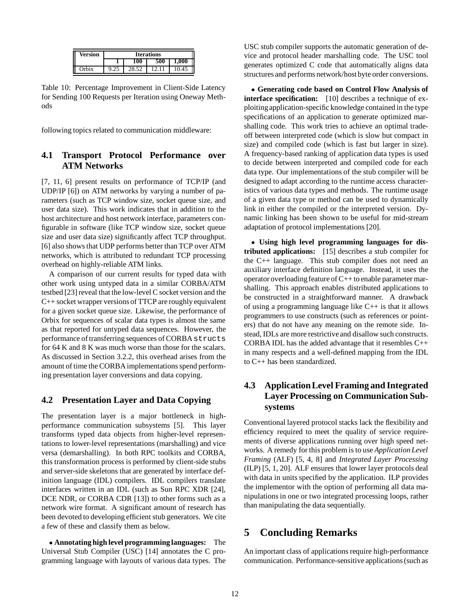| <b>/ersion</b> | Iterations |     |     |       |  |
|----------------|------------|-----|-----|-------|--|
|                |            | 100 | 500 | 1.000 |  |
| <b>Orbix</b>   |            |     |     | 10.45 |  |

Table 10: Percentage Improvement in Client-Side Latency for Sending 100 Requests per Iteration using Oneway Methods

following topics related to communication middleware:

### **4.1 Transport Protocol Performance over ATM Networks**

[7, 11, 6] present results on performance of TCP/IP (and UDP/IP [6]) on ATM networks by varying a number of parameters (such as TCP window size, socket queue size, and user data size). This work indicates that in addition to the host architecture and host network interface, parameters configurable in software (like TCP window size, socket queue size and user data size) significantly affect TCP throughput. [6] also shows that UDP performs better than TCP over ATM networks, which is attributed to redundant TCP processing overhead on highly-reliable ATM links.

A comparison of our current results for typed data with other work using untyped data in a similar CORBA/ATM testbed [23] reveal that the low-level C socket version and the C++ socket wrapper versions of TTCP are roughly equivalent for a given socket queue size. Likewise, the performance of Orbix for sequences of scalar data types is almost the same as that reported for untyped data sequences. However, the performance of transferring sequences of CORBA structs for 64 K and 8 K was much worse than those for the scalars. As discussed in Section 3.2.2, this overhead arises from the amount of time the CORBA implementations spend performing presentation layer conversions and data copying.

### **4.2 Presentation Layer and Data Copying**

The presentation layer is a major bottleneck in highperformance communication subsystems [5]. This layer transforms typed data objects from higher-level representations to lower-level representations (marshalling) and vice versa (demarshalling). In both RPC toolkits and CORBA, this transformation process is performed by client-side stubs and server-side skeletons that are generated by interface definition language (IDL) compilers. IDL compilers translate interfaces written in an IDL (such as Sun RPC XDR [24], DCE NDR, or CORBA CDR [13]) to other forms such as a network wire format. A significant amount of research has been devoted to developing efficient stub generators. We cite a few of these and classify them as below.

 **Annotating high level programming languages:** The Universal Stub Compiler (USC) [14] annotates the C programming language with layouts of various data types. The USC stub compiler supports the automatic generation of device and protocol header marshalling code. The USC tool generates optimized C code that automatically aligns data structures and performs network/host byte order conversions.

 **Generating code based on Control Flow Analysis of interface specification:** [10] describes a technique of exploitingapplication-specific knowledge contained in the type specifications of an application to generate optimized marshalling code. This work tries to achieve an optimal tradeoff between interpreted code (which is slow but compact in size) and compiled code (which is fast but larger in size). A frequency-based ranking of application data types is used to decide between interpreted and compiled code for each data type. Our implementations of the stub compiler will be designed to adapt according to the runtime access characteristics of various data types and methods. The runtime usage of a given data type or method can be used to dynamically link in either the compiled or the interpreted version. Dynamic linking has been shown to be useful for mid-stream adaptation of protocol implementations [20].

 **Using high level programming languages for distributed applications:** [15] describes a stub compiler for the C++ language. This stub compiler does not need an auxiliary interface definition language. Instead, it uses the operator overloading feature of  $C++$  to enable parameter marshalling. This approach enables distributed applications to be constructed in a straightforward manner. A drawback of using a programming language like C++ is that it allows programmers to use constructs (such as references or pointers) that do not have any meaning on the remote side. Instead, IDLs are more restrictive and disallow such constructs. CORBA IDL has the added advantage that it resembles C++ in many respects and a well-defined mapping from the IDL to C++ has been standardized.

### **4.3 ApplicationLevel Framing and Integrated Layer Processing on Communication Subsystems**

Conventional layered protocol stacks lack the flexibility and efficiency required to meet the quality of service requirements of diverse applications running over high speed networks. A remedy for this problem is to use *Application Level Framing* (ALF) [5, 4, 8] and *Integrated Layer Processing* (ILP) [5, 1, 20]. ALF ensures that lower layer protocols deal with data in units specified by the application. ILP provides the implementor with the option of performing all data manipulations in one or two integrated processing loops, rather than manipulating the data sequentially.

### **5 Concluding Remarks**

An important class of applications require high-performance communication. Performance-sensitive applications (such as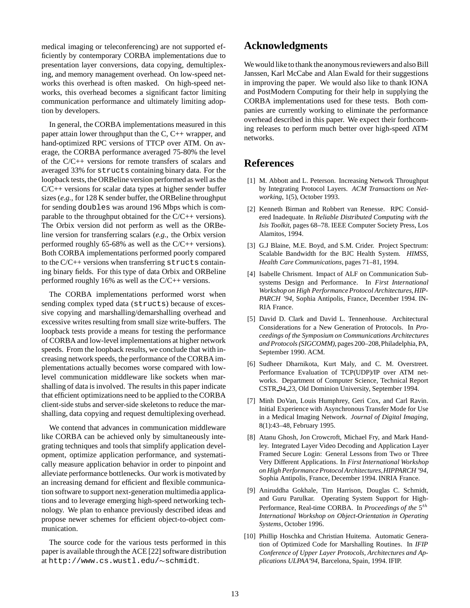medical imaging or teleconferencing) are not supported efficiently by contemporary CORBA implementations due to presentation layer conversions, data copying, demultiplexing, and memory management overhead. On low-speed networks this overhead is often masked. On high-speed networks, this overhead becomes a significant factor limiting communication performance and ultimately limiting adoption by developers.

In general, the CORBA implementations measured in this paper attain lower throughput than the C, C++ wrapper, and hand-optimized RPC versions of TTCP over ATM. On average, the CORBA performance averaged 75-80% the level of the C/C++ versions for remote transfers of scalars and averaged 33% for structs containing binary data. For the loopback tests, the ORBeline version performed as well as the C/C++ versions for scalar data types at higher sender buffer sizes (*e.g.,* for 128 K sender buffer, the ORBeline throughput for sending doubles was around 196 Mbps which is comparable to the throughput obtained for the C/C++ versions). The Orbix version did not perform as well as the ORBeline version for transferring scalars (*e.g.,* the Orbix version performed roughly 65-68% as well as the C/C++ versions). Both CORBA implementations performed poorly compared to the C/C++ versions when transferring structs containing binary fields. For this type of data Orbix and ORBeline performed roughly 16% as well as the C/C++ versions.

The CORBA implementations performed worst when sending complex typed data (structs) because of excessive copying and marshalling/demarshalling overhead and excessive writes resulting from small size write-buffers. The loopback tests provide a means for testing the performance of CORBA and low-level implementations at higher network speeds. From the loopback results, we conclude that with increasing network speeds, the performance of the CORBA implementations actually becomes worse compared with lowlevel communication middleware like sockets when marshalling of data is involved. The results in this paper indicate that efficient optimizations need to be applied to the CORBA client-side stubs and server-side skeletons to reduce the marshalling, data copying and request demultiplexing overhead.

We contend that advances in communication middleware like CORBA can be achieved only by simultaneously integrating techniques and tools that simplify application development, optimize application performance, and systematically measure application behavior in order to pinpoint and alleviate performance bottlenecks. Our work is motivated by an increasing demand for efficient and flexible communication software to support next-generation multimedia applications and to leverage emerging high-speed networking technology. We plan to enhance previously described ideas and propose newer schemes for efficient object-to-object communication.

The source code for the various tests performed in this paper is available through the ACE [22] software distribution at http://www.cs.wustl.edu/~schmidt.

# **Acknowledgments**

We would like to thank the anonymous reviewers and also Bill Janssen, Karl McCabe and Alan Ewald for their suggestions in improving the paper. We would also like to thank IONA and PostModern Computing for their help in supplying the CORBA implementations used for these tests. Both companies are currently working to eliminate the performance overhead described in this paper. We expect their forthcoming releases to perform much better over high-speed ATM networks.

## **References**

- [1] M. Abbott and L. Peterson. Increasing Network Throughput by Integrating Protocol Layers. *ACM Transactions on Networking*, 1(5), October 1993.
- [2] Kenneth Birman and Robbert van Renesse. RPC Considered Inadequate. In *Reliable Distributed Computing with the Isis Toolkit*, pages 68–78. IEEE Computer Society Press, Los Alamitos, 1994.
- [3] G.J Blaine, M.E. Boyd, and S.M. Crider. Project Spectrum: Scalable Bandwidth for the BJC Health System. *HIMSS, Health Care Communications*, pages 71–81, 1994.
- [4] Isabelle Chrisment. Impact of ALF on Communication Subsystems Design and Performance. In *First International Workshop on High Performance Protocol Architectures, HIP-PARCH '94*, Sophia Antipolis, France, December 1994. IN-RIA France.
- [5] David D. Clark and David L. Tennenhouse. Architectural Considerations for a New Generation of Protocols. In *Proceedings of the Symposium on Communications Architectures and Protocols (SIGCOMM)*, pages 200–208,Philadelphia,PA, September 1990. ACM.
- [6] Sudheer Dharnikota, Kurt Maly, and C. M. Overstreet. Performance Evaluation of TCP(UDP)/IP over ATM networks. Department of Computer Science, Technical Report CSTR 94 23, Old Dominion University, September 1994.
- [7] Minh DoVan, Louis Humphrey, Geri Cox, and Carl Ravin. Initial Experience with Asynchronous Transfer Mode for Use in a Medical Imaging Network. *Journal of Digital Imaging*, 8(1):43–48, February 1995.
- [8] Atanu Ghosh, Jon Crowcroft, Michael Fry, and Mark Handley. Integrated Layer Video Decoding and Application Layer Framed Secure Login: General Lessons from Two or Three Very Different Applications. In *First International Workshop on High Performance Protocol Architectures,HIPPARCH '94*, Sophia Antipolis, France, December 1994. INRIA France.
- [9] Aniruddha Gokhale, Tim Harrison, Douglas C. Schmidt, and Guru Parulkar. Operating System Support for High-Performance, Real-time CORBA. In *Proceedings of the* 5<sup>th</sup> *International Workshop on Object-Orientation in Operating Systems*, October 1996.
- [10] Phillip Hoschka and Christian Huitema. Automatic Generation of Optimized Code for Marshalling Routines. In *IFIP Conference of Upper Layer Protocols, Architectures and Applications ULPAA'94*, Barcelona, Spain, 1994. IFIP.